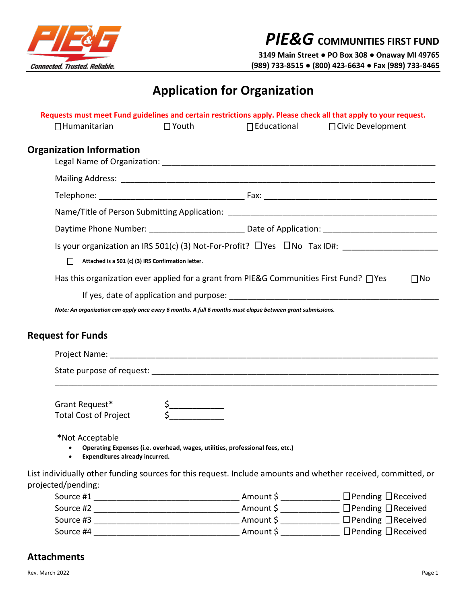

 *PIE&G* **COMMUNITIES FIRST FUND** 

 **3149 Main Street ● PO Box 308 ● Onaway MI 49765 (989) 733-8515 ● (800) 423-6634 ● Fax (989) 733-8465** 

## **Application for Organization**

| $\Box$ Humanitarian                                                                                                                 | $\square$ Youth                                                                                                                                                                                                                                                                                                                                                                                                                                              | $\Box$ Educational                                                                                          | Requests must meet Fund guidelines and certain restrictions apply. Please check all that apply to your request.<br>□ Civic Development |
|-------------------------------------------------------------------------------------------------------------------------------------|--------------------------------------------------------------------------------------------------------------------------------------------------------------------------------------------------------------------------------------------------------------------------------------------------------------------------------------------------------------------------------------------------------------------------------------------------------------|-------------------------------------------------------------------------------------------------------------|----------------------------------------------------------------------------------------------------------------------------------------|
| <b>Organization Information</b>                                                                                                     |                                                                                                                                                                                                                                                                                                                                                                                                                                                              |                                                                                                             |                                                                                                                                        |
|                                                                                                                                     |                                                                                                                                                                                                                                                                                                                                                                                                                                                              |                                                                                                             |                                                                                                                                        |
|                                                                                                                                     |                                                                                                                                                                                                                                                                                                                                                                                                                                                              |                                                                                                             |                                                                                                                                        |
|                                                                                                                                     |                                                                                                                                                                                                                                                                                                                                                                                                                                                              |                                                                                                             |                                                                                                                                        |
|                                                                                                                                     |                                                                                                                                                                                                                                                                                                                                                                                                                                                              |                                                                                                             |                                                                                                                                        |
| П                                                                                                                                   | Attached is a 501 (c) (3) IRS Confirmation letter.                                                                                                                                                                                                                                                                                                                                                                                                           |                                                                                                             | Is your organization an IRS 501(c) (3) Not-For-Profit? $\Box$ Yes $\Box$ No Tax ID#:                                                   |
|                                                                                                                                     |                                                                                                                                                                                                                                                                                                                                                                                                                                                              | Has this organization ever applied for a grant from PIE&G Communities First Fund? $\Box$ Yes                | $\Box$ No                                                                                                                              |
|                                                                                                                                     |                                                                                                                                                                                                                                                                                                                                                                                                                                                              | Note: An organization can apply once every 6 months. A full 6 months must elapse between grant submissions. |                                                                                                                                        |
| <b>Request for Funds</b>                                                                                                            |                                                                                                                                                                                                                                                                                                                                                                                                                                                              |                                                                                                             |                                                                                                                                        |
|                                                                                                                                     |                                                                                                                                                                                                                                                                                                                                                                                                                                                              |                                                                                                             |                                                                                                                                        |
|                                                                                                                                     |                                                                                                                                                                                                                                                                                                                                                                                                                                                              |                                                                                                             |                                                                                                                                        |
| Grant Request*<br><b>Total Cost of Project</b>                                                                                      | $\begin{array}{c}\n5 \qquad \qquad 5 \qquad \qquad 5 \qquad \qquad 5 \qquad \qquad 7 \qquad \qquad 6 \qquad \qquad 7 \qquad \qquad 8 \qquad \qquad 7 \qquad \qquad 8 \qquad \qquad 7 \qquad \qquad 8 \qquad \qquad 7 \qquad \qquad 8 \qquad \qquad 7 \qquad \qquad 8 \qquad \qquad 7 \qquad \qquad 8 \qquad \qquad 8 \qquad \qquad 7 \qquad \qquad 8 \qquad \qquad 7 \qquad \qquad 8 \qquad \qquad 7 \qquad \qquad 8 \qquad \qquad 7 \qquad \qquad 8 \qquad$ |                                                                                                             |                                                                                                                                        |
| *Not Acceptable<br>Expenditures already incurred.<br>$\bullet$                                                                      | Operating Expenses (i.e. overhead, wages, utilities, professional fees, etc.)                                                                                                                                                                                                                                                                                                                                                                                |                                                                                                             |                                                                                                                                        |
| List individually other funding sources for this request. Include amounts and whether received, committed, or<br>projected/pending: |                                                                                                                                                                                                                                                                                                                                                                                                                                                              |                                                                                                             |                                                                                                                                        |

## **Attachments**